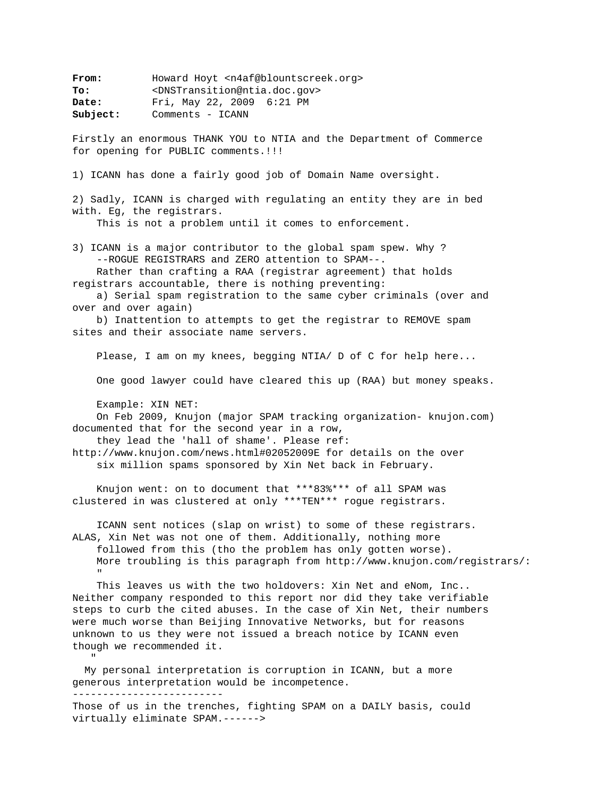From: Howard Hoyt <n4af@blountscreek.org> **To:** <DNSTransition@ntia.doc.gov> **Date:** Fri, May 22, 2009 6:21 PM Subject: Comments - ICANN

Firstly an enormous THANK YOU to NTIA and the Department of Commerce for opening for PUBLIC comments.!!!

1) ICANN has done a fairly good job of Domain Name oversight.

2) Sadly, ICANN is charged with regulating an entity they are in bed with. Eg, the registrars.

This is not a problem until it comes to enforcement.

3) ICANN is a major contributor to the global spam spew. Why ? --ROGUE REGISTRARS and ZERO attention to SPAM--.

 Rather than crafting a RAA (registrar agreement) that holds registrars accountable, there is nothing preventing:

 a) Serial spam registration to the same cyber criminals (over and over and over again)

 b) Inattention to attempts to get the registrar to REMOVE spam sites and their associate name servers.

Please, I am on my knees, begging NTIA/ D of C for help here...

One good lawyer could have cleared this up (RAA) but money speaks.

Example: XIN NET:

"" ""

 On Feb 2009, Knujon (major SPAM tracking organization- knujon.com) documented that for the second year in a row,

they lead the 'hall of shame'. Please ref:

http://www.knujon.com/news.html#02052009E for details on the over six million spams sponsored by Xin Net back in February.

 Knujon went: on to document that \*\*\*83%\*\*\* of all SPAM was clustered in was clustered at only \*\*\*TEN\*\*\* rogue registrars.

 ICANN sent notices (slap on wrist) to some of these registrars. ALAS, Xin Net was not one of them. Additionally, nothing more followed from this (tho the problem has only gotten worse). More troubling is this paragraph from http://www.knujon.com/registrars/: "" "" ""

 This leaves us with the two holdovers: Xin Net and eNom, Inc.. Neither company responded to this report nor did they take verifiable steps to curb the cited abuses. In the case of Xin Net, their numbers were much worse than Beijing Innovative Networks, but for reasons unknown to us they were not issued a breach notice by ICANN even though we recommended it.

 My personal interpretation is corruption in ICANN, but a more generous interpretation would be incompetence. -------------------------

Those of us in the trenches, fighting SPAM on a DAILY basis, could virtually eliminate SPAM.------>